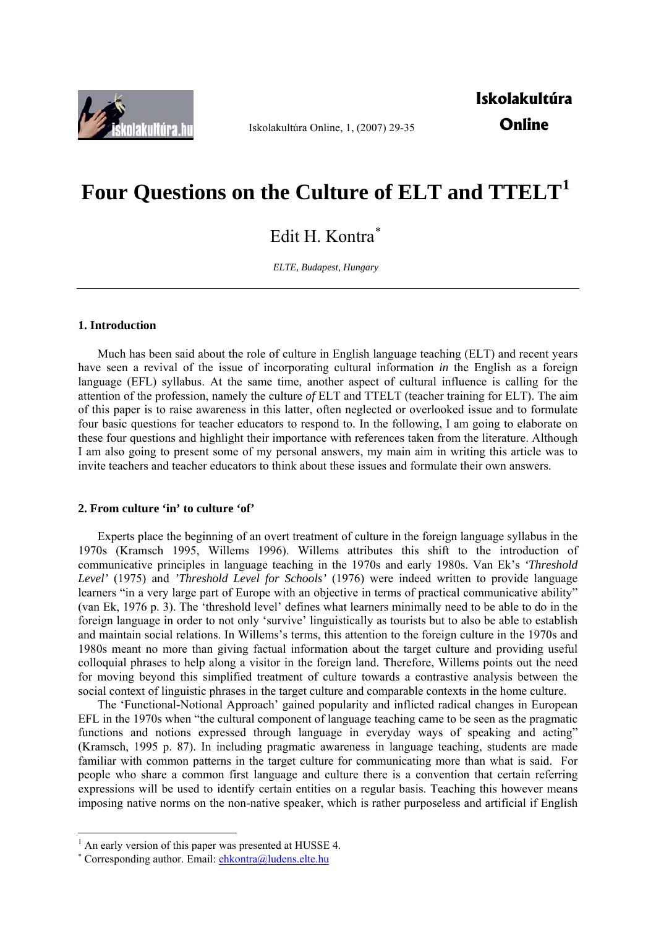

Iskolakultúra Online, 1, (2007) 29-35

**Iskolakultúra Online** 

# **Four Questions on the Culture of ELT and TTELT[1](#page-0-0)**

Edit H. Kontra<sup>\*</sup>

*ELTE, Budapest, Hungary* 

## **1. Introduction**

Much has been said about the role of culture in English language teaching (ELT) and recent years have seen a revival of the issue of incorporating cultural information *in* the English as a foreign language (EFL) syllabus. At the same time, another aspect of cultural influence is calling for the attention of the profession, namely the culture *of* ELT and TTELT (teacher training for ELT). The aim of this paper is to raise awareness in this latter, often neglected or overlooked issue and to formulate four basic questions for teacher educators to respond to. In the following, I am going to elaborate on these four questions and highlight their importance with references taken from the literature. Although I am also going to present some of my personal answers, my main aim in writing this article was to invite teachers and teacher educators to think about these issues and formulate their own answers.

## **2. From culture 'in' to culture 'of'**

Experts place the beginning of an overt treatment of culture in the foreign language syllabus in the 1970s (Kramsch 1995, Willems 1996). Willems attributes this shift to the introduction of communicative principles in language teaching in the 1970s and early 1980s. Van Ek's *'Threshold Level'* (1975) and *'Threshold Level for Schools'* (1976) were indeed written to provide language learners "in a very large part of Europe with an objective in terms of practical communicative ability" (van Ek, 1976 p. 3). The 'threshold level' defines what learners minimally need to be able to do in the foreign language in order to not only 'survive' linguistically as tourists but to also be able to establish and maintain social relations. In Willems's terms, this attention to the foreign culture in the 1970s and 1980s meant no more than giving factual information about the target culture and providing useful colloquial phrases to help along a visitor in the foreign land. Therefore, Willems points out the need for moving beyond this simplified treatment of culture towards a contrastive analysis between the social context of linguistic phrases in the target culture and comparable contexts in the home culture.

The 'Functional-Notional Approach' gained popularity and inflicted radical changes in European EFL in the 1970s when "the cultural component of language teaching came to be seen as the pragmatic functions and notions expressed through language in everyday ways of speaking and acting" (Kramsch, 1995 p. 87). In including pragmatic awareness in language teaching, students are made familiar with common patterns in the target culture for communicating more than what is said. For people who share a common first language and culture there is a convention that certain referring expressions will be used to identify certain entities on a regular basis. Teaching this however means imposing native norms on the non-native speaker, which is rather purposeless and artificial if English

1

<span id="page-0-0"></span><sup>&</sup>lt;sup>1</sup> An early version of this paper was presented at HUSSE 4.

<span id="page-0-1"></span><sup>\*</sup> Corresponding author. Email: **[ehkontra@ludens.elte.hu](mailto:ehkontra@ludens.elte.hu)**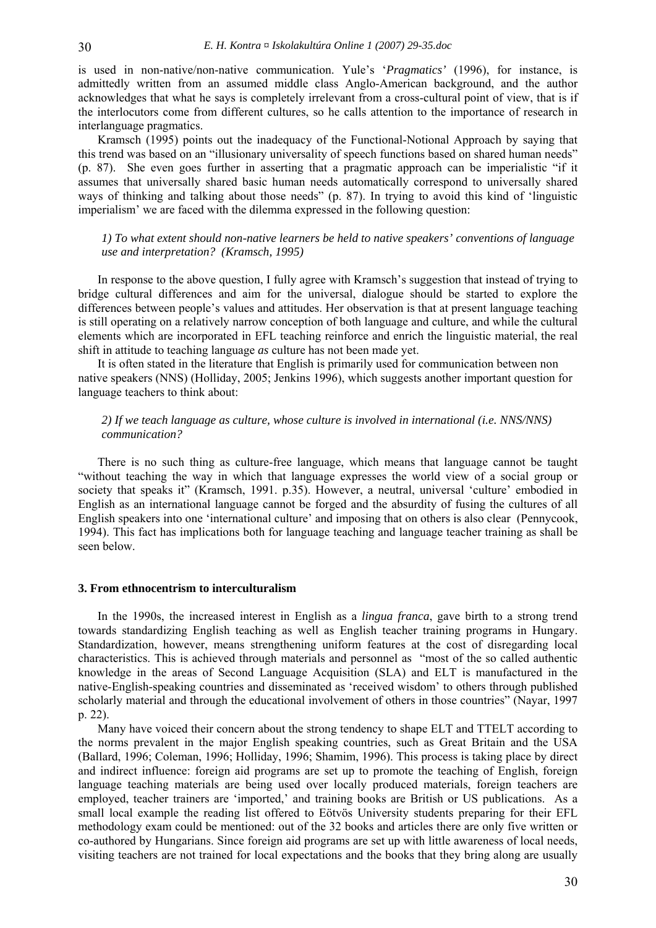is used in non-native/non-native communication. Yule's '*Pragmatics'* (1996), for instance, is admittedly written from an assumed middle class Anglo-American background, and the author acknowledges that what he says is completely irrelevant from a cross-cultural point of view, that is if the interlocutors come from different cultures, so he calls attention to the importance of research in interlanguage pragmatics.

Kramsch (1995) points out the inadequacy of the Functional-Notional Approach by saying that this trend was based on an "illusionary universality of speech functions based on shared human needs" (p. 87). She even goes further in asserting that a pragmatic approach can be imperialistic "if it assumes that universally shared basic human needs automatically correspond to universally shared ways of thinking and talking about those needs" (p. 87). In trying to avoid this kind of 'linguistic imperialism' we are faced with the dilemma expressed in the following question:

*1) To what extent should non-native learners be held to native speakers' conventions of language use and interpretation? (Kramsch, 1995)* 

In response to the above question, I fully agree with Kramsch's suggestion that instead of trying to bridge cultural differences and aim for the universal, dialogue should be started to explore the differences between people's values and attitudes. Her observation is that at present language teaching is still operating on a relatively narrow conception of both language and culture, and while the cultural elements which are incorporated in EFL teaching reinforce and enrich the linguistic material, the real shift in attitude to teaching language *as* culture has not been made yet.

It is often stated in the literature that English is primarily used for communication between non native speakers (NNS) (Holliday, 2005; Jenkins 1996), which suggests another important question for language teachers to think about:

## *2) If we teach language as culture, whose culture is involved in international (i.e. NNS/NNS) communication?*

There is no such thing as culture-free language, which means that language cannot be taught "without teaching the way in which that language expresses the world view of a social group or society that speaks it" (Kramsch, 1991. p.35). However, a neutral, universal 'culture' embodied in English as an international language cannot be forged and the absurdity of fusing the cultures of all English speakers into one 'international culture' and imposing that on others is also clear (Pennycook, 1994). This fact has implications both for language teaching and language teacher training as shall be seen below.

#### **3. From ethnocentrism to interculturalism**

In the 1990s, the increased interest in English as a *lingua franca*, gave birth to a strong trend towards standardizing English teaching as well as English teacher training programs in Hungary. Standardization, however, means strengthening uniform features at the cost of disregarding local characteristics. This is achieved through materials and personnel as "most of the so called authentic knowledge in the areas of Second Language Acquisition (SLA) and ELT is manufactured in the native-English-speaking countries and disseminated as 'received wisdom' to others through published scholarly material and through the educational involvement of others in those countries" (Nayar, 1997 p. 22).

Many have voiced their concern about the strong tendency to shape ELT and TTELT according to the norms prevalent in the major English speaking countries, such as Great Britain and the USA (Ballard, 1996; Coleman, 1996; Holliday, 1996; Shamim, 1996). This process is taking place by direct and indirect influence: foreign aid programs are set up to promote the teaching of English, foreign language teaching materials are being used over locally produced materials, foreign teachers are employed, teacher trainers are 'imported,' and training books are British or US publications. As a small local example the reading list offered to Eötvös University students preparing for their EFL methodology exam could be mentioned: out of the 32 books and articles there are only five written or co-authored by Hungarians. Since foreign aid programs are set up with little awareness of local needs, visiting teachers are not trained for local expectations and the books that they bring along are usually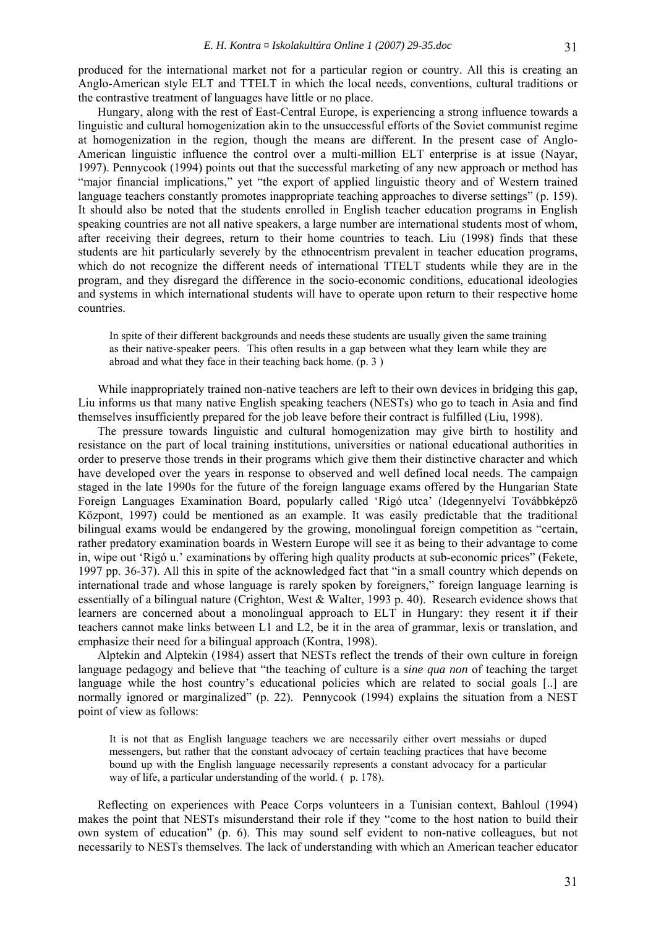produced for the international market not for a particular region or country. All this is creating an Anglo-American style ELT and TTELT in which the local needs, conventions, cultural traditions or the contrastive treatment of languages have little or no place.

Hungary, along with the rest of East-Central Europe, is experiencing a strong influence towards a linguistic and cultural homogenization akin to the unsuccessful efforts of the Soviet communist regime at homogenization in the region, though the means are different. In the present case of Anglo-American linguistic influence the control over a multi-million ELT enterprise is at issue (Nayar, 1997). Pennycook (1994) points out that the successful marketing of any new approach or method has "major financial implications," yet "the export of applied linguistic theory and of Western trained language teachers constantly promotes inappropriate teaching approaches to diverse settings" (p. 159). It should also be noted that the students enrolled in English teacher education programs in English speaking countries are not all native speakers, a large number are international students most of whom, after receiving their degrees, return to their home countries to teach. Liu (1998) finds that these students are hit particularly severely by the ethnocentrism prevalent in teacher education programs, which do not recognize the different needs of international TTELT students while they are in the program, and they disregard the difference in the socio-economic conditions, educational ideologies and systems in which international students will have to operate upon return to their respective home countries.

In spite of their different backgrounds and needs these students are usually given the same training as their native-speaker peers. This often results in a gap between what they learn while they are abroad and what they face in their teaching back home. (p. 3 )

While inappropriately trained non-native teachers are left to their own devices in bridging this gap, Liu informs us that many native English speaking teachers (NESTs) who go to teach in Asia and find themselves insufficiently prepared for the job leave before their contract is fulfilled (Liu, 1998).

The pressure towards linguistic and cultural homogenization may give birth to hostility and resistance on the part of local training institutions, universities or national educational authorities in order to preserve those trends in their programs which give them their distinctive character and which have developed over the years in response to observed and well defined local needs. The campaign staged in the late 1990s for the future of the foreign language exams offered by the Hungarian State Foreign Languages Examination Board, popularly called 'Rigó utca' (Idegennyelvi Továbbképző Központ, 1997) could be mentioned as an example. It was easily predictable that the traditional bilingual exams would be endangered by the growing, monolingual foreign competition as "certain, rather predatory examination boards in Western Europe will see it as being to their advantage to come in, wipe out 'Rigó u.' examinations by offering high quality products at sub-economic prices" (Fekete, 1997 pp. 36-37). All this in spite of the acknowledged fact that "in a small country which depends on international trade and whose language is rarely spoken by foreigners," foreign language learning is essentially of a bilingual nature (Crighton, West & Walter, 1993 p. 40). Research evidence shows that learners are concerned about a monolingual approach to ELT in Hungary: they resent it if their teachers cannot make links between L1 and L2, be it in the area of grammar, lexis or translation, and emphasize their need for a bilingual approach (Kontra, 1998).

Alptekin and Alptekin (1984) assert that NESTs reflect the trends of their own culture in foreign language pedagogy and believe that "the teaching of culture is a *sine qua non* of teaching the target language while the host country's educational policies which are related to social goals [..] are normally ignored or marginalized" (p. 22). Pennycook (1994) explains the situation from a NEST point of view as follows:

It is not that as English language teachers we are necessarily either overt messiahs or duped messengers, but rather that the constant advocacy of certain teaching practices that have become bound up with the English language necessarily represents a constant advocacy for a particular way of life, a particular understanding of the world. (p. 178).

Reflecting on experiences with Peace Corps volunteers in a Tunisian context, Bahloul (1994) makes the point that NESTs misunderstand their role if they "come to the host nation to build their own system of education" (p. 6). This may sound self evident to non-native colleagues, but not necessarily to NESTs themselves. The lack of understanding with which an American teacher educator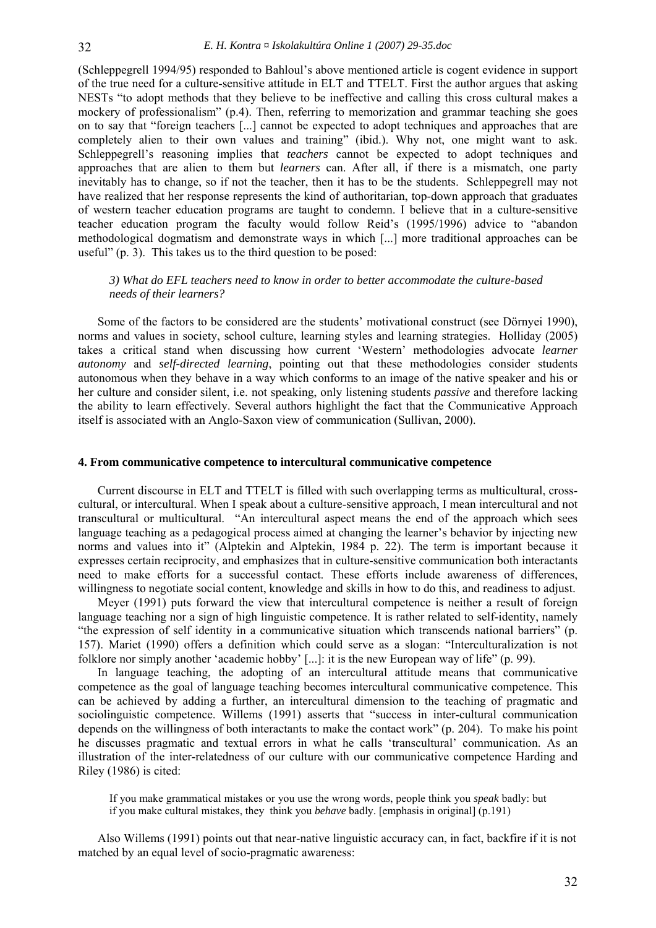(Schleppegrell 1994/95) responded to Bahloul's above mentioned article is cogent evidence in support of the true need for a culture-sensitive attitude in ELT and TTELT. First the author argues that asking NESTs "to adopt methods that they believe to be ineffective and calling this cross cultural makes a mockery of professionalism" (p.4). Then, referring to memorization and grammar teaching she goes on to say that "foreign teachers [...] cannot be expected to adopt techniques and approaches that are completely alien to their own values and training" (ibid.). Why not, one might want to ask. Schleppegrell's reasoning implies that *teachers* cannot be expected to adopt techniques and approaches that are alien to them but *learners* can. After all, if there is a mismatch, one party inevitably has to change, so if not the teacher, then it has to be the students. Schleppegrell may not have realized that her response represents the kind of authoritarian, top-down approach that graduates of western teacher education programs are taught to condemn. I believe that in a culture-sensitive teacher education program the faculty would follow Reid's (1995/1996) advice to "abandon methodological dogmatism and demonstrate ways in which [...] more traditional approaches can be useful" (p. 3). This takes us to the third question to be posed:

# *3) What do EFL teachers need to know in order to better accommodate the culture-based needs of their learners?*

Some of the factors to be considered are the students' motivational construct (see Dörnyei 1990), norms and values in society, school culture, learning styles and learning strategies. Holliday (2005) takes a critical stand when discussing how current 'Western' methodologies advocate *learner autonomy* and *self-directed learning*, pointing out that these methodologies consider students autonomous when they behave in a way which conforms to an image of the native speaker and his or her culture and consider silent, i.e. not speaking, only listening students *passive* and therefore lacking the ability to learn effectively. Several authors highlight the fact that the Communicative Approach itself is associated with an Anglo-Saxon view of communication (Sullivan, 2000).

## **4. From communicative competence to intercultural communicative competence**

Current discourse in ELT and TTELT is filled with such overlapping terms as multicultural, crosscultural, or intercultural. When I speak about a culture-sensitive approach, I mean intercultural and not transcultural or multicultural. "An intercultural aspect means the end of the approach which sees language teaching as a pedagogical process aimed at changing the learner's behavior by injecting new norms and values into it" (Alptekin and Alptekin, 1984 p. 22). The term is important because it expresses certain reciprocity, and emphasizes that in culture-sensitive communication both interactants need to make efforts for a successful contact. These efforts include awareness of differences, willingness to negotiate social content, knowledge and skills in how to do this, and readiness to adjust.

Meyer (1991) puts forward the view that intercultural competence is neither a result of foreign language teaching nor a sign of high linguistic competence. It is rather related to self-identity, namely "the expression of self identity in a communicative situation which transcends national barriers" (p. 157). Mariet (1990) offers a definition which could serve as a slogan: "Interculturalization is not folklore nor simply another 'academic hobby' [...]: it is the new European way of life" (p. 99).

In language teaching, the adopting of an intercultural attitude means that communicative competence as the goal of language teaching becomes intercultural communicative competence. This can be achieved by adding a further, an intercultural dimension to the teaching of pragmatic and sociolinguistic competence. Willems (1991) asserts that "success in inter-cultural communication depends on the willingness of both interactants to make the contact work" (p. 204). To make his point he discusses pragmatic and textual errors in what he calls 'transcultural' communication. As an illustration of the inter-relatedness of our culture with our communicative competence Harding and Riley (1986) is cited:

If you make grammatical mistakes or you use the wrong words, people think you *speak* badly: but if you make cultural mistakes, they think you *behave* badly. [emphasis in original] (p.191)

Also Willems (1991) points out that near-native linguistic accuracy can, in fact, backfire if it is not matched by an equal level of socio-pragmatic awareness: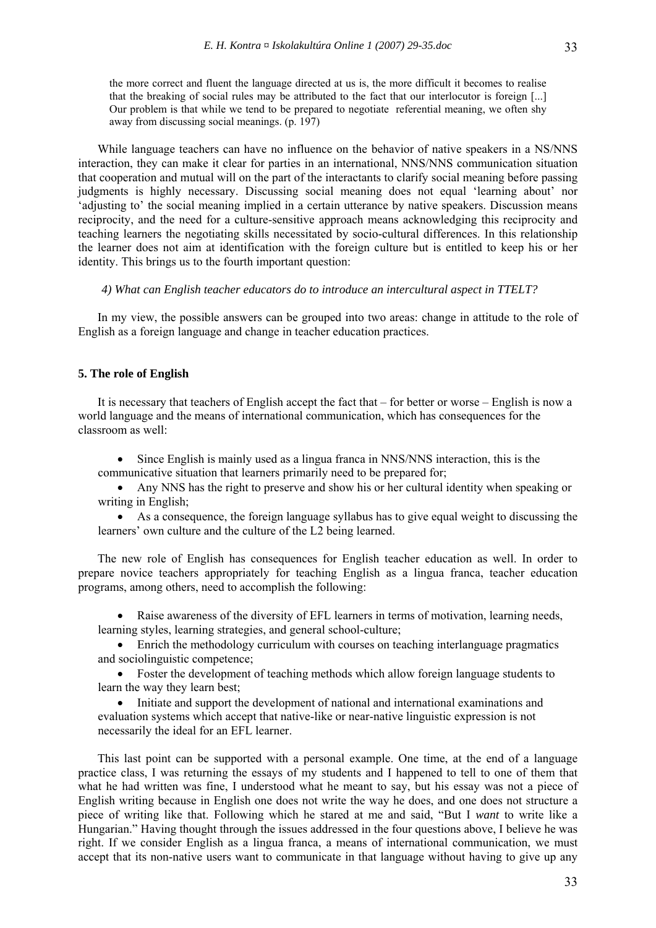the more correct and fluent the language directed at us is, the more difficult it becomes to realise that the breaking of social rules may be attributed to the fact that our interlocutor is foreign [...] Our problem is that while we tend to be prepared to negotiate referential meaning, we often shy away from discussing social meanings. (p. 197)

While language teachers can have no influence on the behavior of native speakers in a NS/NNS interaction, they can make it clear for parties in an international, NNS/NNS communication situation that cooperation and mutual will on the part of the interactants to clarify social meaning before passing judgments is highly necessary. Discussing social meaning does not equal 'learning about' nor 'adjusting to' the social meaning implied in a certain utterance by native speakers. Discussion means reciprocity, and the need for a culture-sensitive approach means acknowledging this reciprocity and teaching learners the negotiating skills necessitated by socio-cultural differences. In this relationship the learner does not aim at identification with the foreign culture but is entitled to keep his or her identity. This brings us to the fourth important question:

*4) What can English teacher educators do to introduce an intercultural aspect in TTELT?* 

In my view, the possible answers can be grouped into two areas: change in attitude to the role of English as a foreign language and change in teacher education practices.

## **5. The role of English**

It is necessary that teachers of English accept the fact that – for better or worse – English is now a world language and the means of international communication, which has consequences for the classroom as well:

• Since English is mainly used as a lingua franca in NNS/NNS interaction, this is the communicative situation that learners primarily need to be prepared for;

• Any NNS has the right to preserve and show his or her cultural identity when speaking or writing in English;

• As a consequence, the foreign language syllabus has to give equal weight to discussing the learners' own culture and the culture of the L2 being learned.

The new role of English has consequences for English teacher education as well. In order to prepare novice teachers appropriately for teaching English as a lingua franca, teacher education programs, among others, need to accomplish the following:

• Raise awareness of the diversity of EFL learners in terms of motivation, learning needs, learning styles, learning strategies, and general school-culture;

• Enrich the methodology curriculum with courses on teaching interlanguage pragmatics and sociolinguistic competence;

• Foster the development of teaching methods which allow foreign language students to learn the way they learn best;

• Initiate and support the development of national and international examinations and evaluation systems which accept that native-like or near-native linguistic expression is not necessarily the ideal for an EFL learner.

This last point can be supported with a personal example. One time, at the end of a language practice class, I was returning the essays of my students and I happened to tell to one of them that what he had written was fine, I understood what he meant to say, but his essay was not a piece of English writing because in English one does not write the way he does, and one does not structure a piece of writing like that. Following which he stared at me and said, "But I *want* to write like a Hungarian." Having thought through the issues addressed in the four questions above, I believe he was right. If we consider English as a lingua franca, a means of international communication, we must accept that its non-native users want to communicate in that language without having to give up any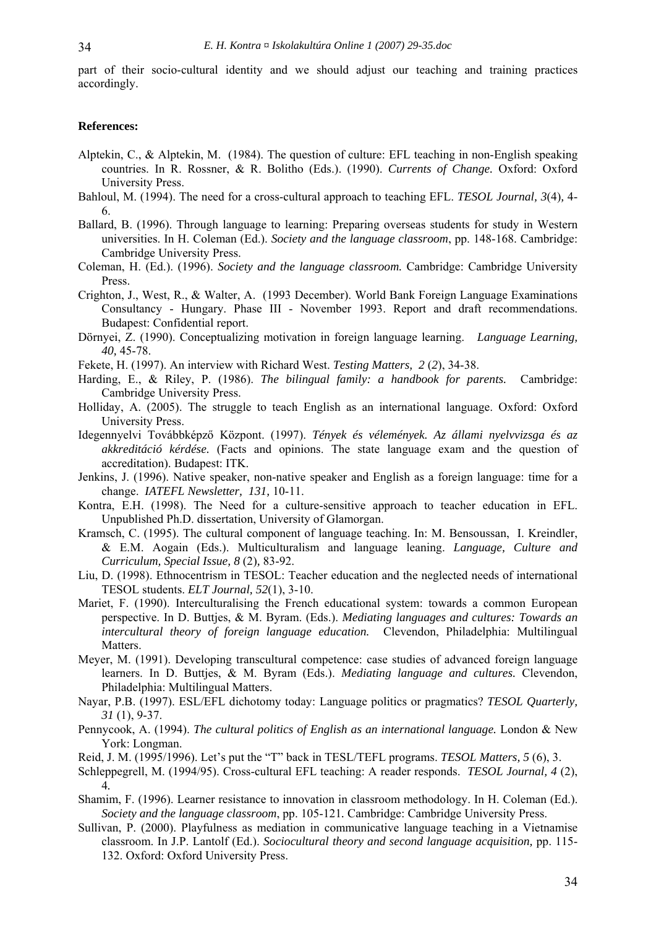part of their socio-cultural identity and we should adjust our teaching and training practices accordingly.

#### **References:**

- Alptekin, C., & Alptekin, M. (1984). The question of culture: EFL teaching in non-English speaking countries. In R. Rossner, & R. Bolitho (Eds.). (1990). *Currents of Change.* Oxford: Oxford University Press.
- Bahloul, M. (1994). The need for a cross-cultural approach to teaching EFL. *TESOL Journal, 3*(4)*,* 4- 6.
- Ballard, B. (1996). Through language to learning: Preparing overseas students for study in Western universities. In H. Coleman (Ed.). *Society and the language classroom*, pp. 148-168. Cambridge: Cambridge University Press.
- Coleman, H. (Ed.). (1996). *Society and the language classroom.* Cambridge: Cambridge University Press.
- Crighton, J., West, R., & Walter, A. (1993 December). World Bank Foreign Language Examinations Consultancy - Hungary. Phase III - November 1993. Report and draft recommendations. Budapest: Confidential report.
- Dörnyei, Z. (1990). Conceptualizing motivation in foreign language learning. *Language Learning, 40,* 45-78.
- Fekete, H. (1997). An interview with Richard West. *Testing Matters, 2* (*2*), 34-38.
- Harding, E., & Riley, P. (1986). *The bilingual family: a handbook for parents.* Cambridge: Cambridge University Press.
- Holliday, A. (2005). The struggle to teach English as an international language. Oxford: Oxford University Press.
- Idegennyelvi Továbbképző Központ. (1997). *Tények és vélemények. Az állami nyelvvizsga és az akkreditáció kérdése.* (Facts and opinions. The state language exam and the question of accreditation). Budapest: ITK.
- Jenkins, J. (1996). Native speaker, non-native speaker and English as a foreign language: time for a change. *IATEFL Newsletter, 131,* 10-11.
- Kontra, E.H. (1998). The Need for a culture-sensitive approach to teacher education in EFL. Unpublished Ph.D. dissertation, University of Glamorgan.
- Kramsch, C. (1995). The cultural component of language teaching. In: M. Bensoussan, I. Kreindler, & E.M. Aogain (Eds.). Multiculturalism and language leaning. *Language, Culture and Curriculum, Special Issue, 8* (2)*,* 83-92.
- Liu, D. (1998). Ethnocentrism in TESOL: Teacher education and the neglected needs of international TESOL students. *ELT Journal, 52*(1), 3-10.
- Mariet, F. (1990). Interculturalising the French educational system: towards a common European perspective. In D. Buttjes, & M. Byram. (Eds.). *Mediating languages and cultures: Towards an intercultural theory of foreign language education.* Clevendon, Philadelphia: Multilingual Matters.
- Meyer, M. (1991). Developing transcultural competence: case studies of advanced foreign language learners. In D. Buttjes, & M. Byram (Eds.). *Mediating language and cultures.* Clevendon, Philadelphia: Multilingual Matters.
- Nayar, P.B. (1997). ESL/EFL dichotomy today: Language politics or pragmatics? *TESOL Quarterly, 31* (1), 9-37.
- Pennycook, A. (1994). *The cultural politics of English as an international language.* London & New York: Longman.
- Reid, J. M. (1995/1996). Let's put the "T" back in TESL/TEFL programs. *TESOL Matters, 5* (6), 3.
- Schleppegrell, M. (1994/95). Cross-cultural EFL teaching: A reader responds. *TESOL Journal, 4* (2), 4*.*
- Shamim, F. (1996). Learner resistance to innovation in classroom methodology. In H. Coleman (Ed.). *Society and the language classroom*, pp. 105-121*.* Cambridge: Cambridge University Press.
- Sullivan, P. (2000). Playfulness as mediation in communicative language teaching in a Vietnamise classroom. In J.P. Lantolf (Ed.). *Sociocultural theory and second language acquisition,* pp. 115- 132. Oxford: Oxford University Press.